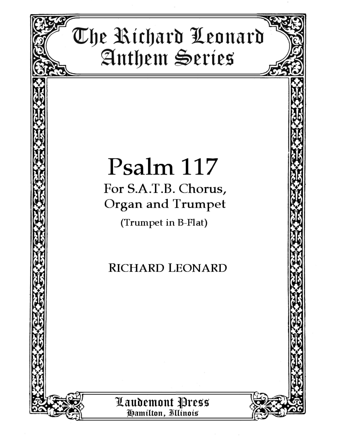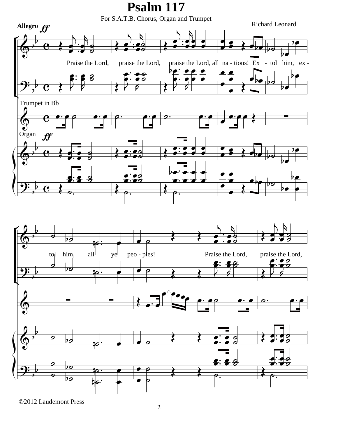

©2012 Laudemont Press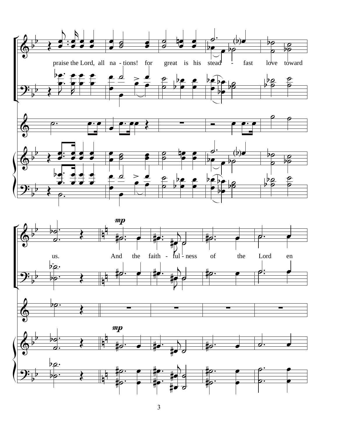

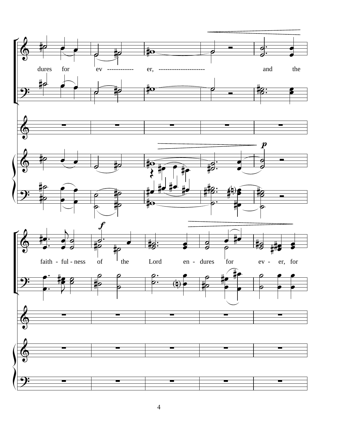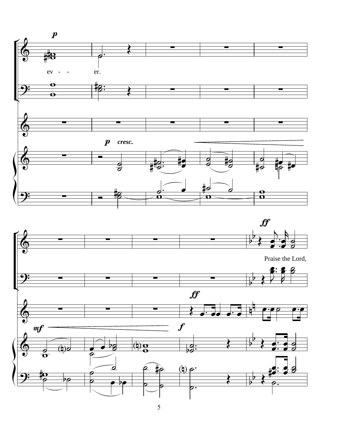

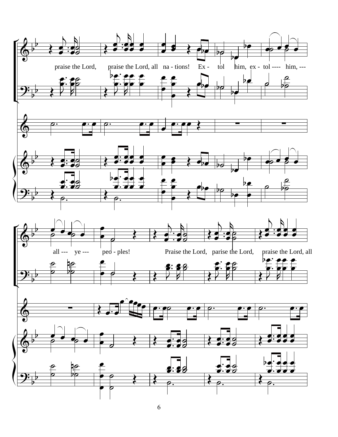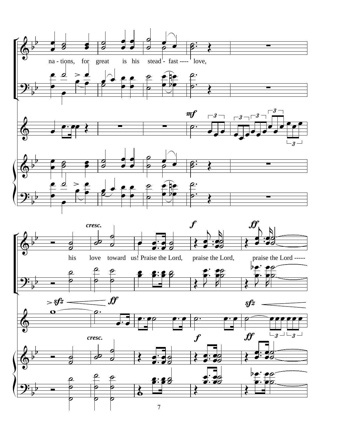